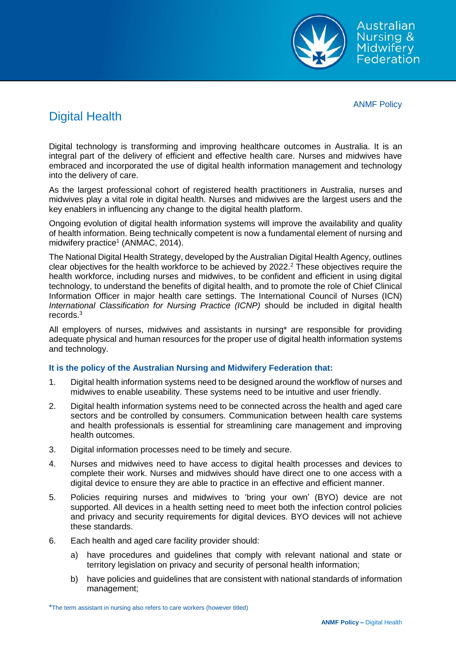Australian **Nursing & Midwifery** Figwird y

ANMF Policy

# Digital Health

Digital technology is transforming and improving healthcare outcomes in Australia. It is an integral part of the delivery of efficient and effective health care. Nurses and midwives have embraced and incorporated the use of digital health information management and technology into the delivery of care.

As the largest professional cohort of registered health practitioners in Australia, nurses and midwives play a vital role in digital health. Nurses and midwives are the largest users and the key enablers in influencing any change to the digital health platform.

Ongoing evolution of digital health information systems will improve the availability and quality of health information. Being technically competent is now a fundamental element of nursing and midwifery practice<sup>1</sup> (ANMAC, 2014).

The National Digital Health Strategy, developed by the Australian Digital Health Agency, outlines clear objectives for the health workforce to be achieved by 2022.<sup>2</sup> These objectives require the health workforce, including nurses and midwives, to be confident and efficient in using digital technology, to understand the benefits of digital health, and to promote the role of Chief Clinical Information Officer in major health care settings. The International Council of Nurses (ICN) *International Classification for Nursing Practice (ICNP)* should be included in digital health records.<sup>3</sup>

All employers of nurses, midwives and assistants in nursing\* are responsible for providing adequate physical and human resources for the proper use of digital health information systems and technology.

# **It is the policy of the Australian Nursing and Midwifery Federation that:**

- 1. Digital health information systems need to be designed around the workflow of nurses and midwives to enable useability. These systems need to be intuitive and user friendly.
- 2. Digital health information systems need to be connected across the health and aged care sectors and be controlled by consumers. Communication between health care systems and health professionals is essential for streamlining care management and improving health outcomes.
- 3. Digital information processes need to be timely and secure.
- 4. Nurses and midwives need to have access to digital health processes and devices to complete their work. Nurses and midwives should have direct one to one access with a digital device to ensure they are able to practice in an effective and efficient manner.
- 5. Policies requiring nurses and midwives to 'bring your own' (BYO) device are not supported. All devices in a health setting need to meet both the infection control policies and privacy and security requirements for digital devices. BYO devices will not achieve these standards.
- 6. Each health and aged care facility provider should:
	- a) have procedures and guidelines that comply with relevant national and state or territory legislation on privacy and security of personal health information;
	- b) have policies and guidelines that are consistent with national standards of information management;

<sup>\*</sup>The term assistant in nursing also refers to care workers (however titled)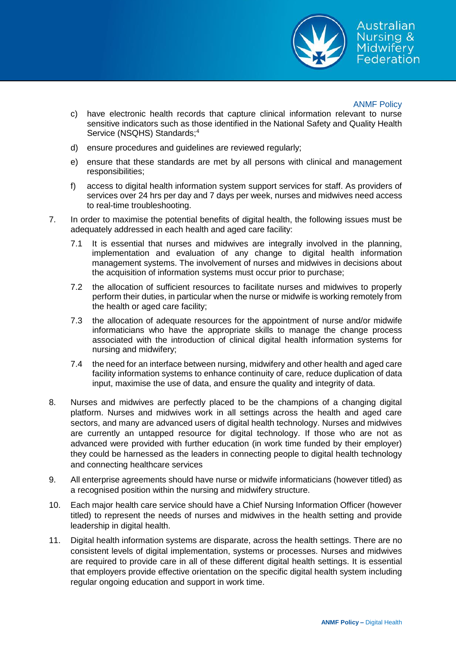

Australian Nursing & Midwiferv Federation

### ANMF Policy

- c) have electronic health records that capture clinical information relevant to nurse sensitive indicators such as those identified in the National Safety and Quality Health Service (NSQHS) Standards;<sup>4</sup>
- d) ensure procedures and guidelines are reviewed regularly;
- e) ensure that these standards are met by all persons with clinical and management responsibilities;
- f) access to digital health information system support services for staff. As providers of services over 24 hrs per day and 7 days per week, nurses and midwives need access to real-time troubleshooting.
- 7. In order to maximise the potential benefits of digital health, the following issues must be adequately addressed in each health and aged care facility:
	- 7.1 It is essential that nurses and midwives are integrally involved in the planning, implementation and evaluation of any change to digital health information management systems. The involvement of nurses and midwives in decisions about the acquisition of information systems must occur prior to purchase;
	- 7.2 the allocation of sufficient resources to facilitate nurses and midwives to properly perform their duties, in particular when the nurse or midwife is working remotely from the health or aged care facility;
	- 7.3 the allocation of adequate resources for the appointment of nurse and/or midwife informaticians who have the appropriate skills to manage the change process associated with the introduction of clinical digital health information systems for nursing and midwifery;
	- 7.4 the need for an interface between nursing, midwifery and other health and aged care facility information systems to enhance continuity of care, reduce duplication of data input, maximise the use of data, and ensure the quality and integrity of data.
- 8. Nurses and midwives are perfectly placed to be the champions of a changing digital platform. Nurses and midwives work in all settings across the health and aged care sectors, and many are advanced users of digital health technology. Nurses and midwives are currently an untapped resource for digital technology. If those who are not as advanced were provided with further education (in work time funded by their employer) they could be harnessed as the leaders in connecting people to digital health technology and connecting healthcare services
- 9. All enterprise agreements should have nurse or midwife informaticians (however titled) as a recognised position within the nursing and midwifery structure.
- 10. Each major health care service should have a Chief Nursing Information Officer (however titled) to represent the needs of nurses and midwives in the health setting and provide leadership in digital health.
- 11. Digital health information systems are disparate, across the health settings. There are no consistent levels of digital implementation, systems or processes. Nurses and midwives are required to provide care in all of these different digital health settings. It is essential that employers provide effective orientation on the specific digital health system including regular ongoing education and support in work time.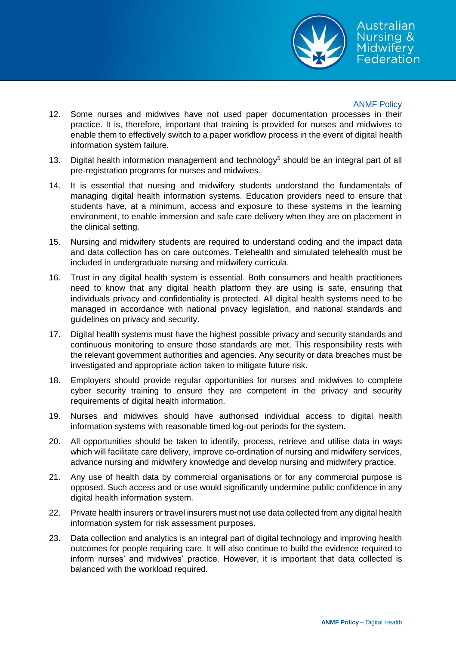

## ANMF Policy

- 12. Some nurses and midwives have not used paper documentation processes in their practice. It is, therefore, important that training is provided for nurses and midwives to enable them to effectively switch to a paper workflow process in the event of digital health information system failure.
- 13. Digital health information management and technology<sup>5</sup> should be an integral part of all pre-registration programs for nurses and midwives.
- 14. It is essential that nursing and midwifery students understand the fundamentals of managing digital health information systems. Education providers need to ensure that students have, at a minimum, access and exposure to these systems in the learning environment, to enable immersion and safe care delivery when they are on placement in the clinical setting.
- 15. Nursing and midwifery students are required to understand coding and the impact data and data collection has on care outcomes. Telehealth and simulated telehealth must be included in undergraduate nursing and midwifery curricula.
- 16. Trust in any digital health system is essential. Both consumers and health practitioners need to know that any digital health platform they are using is safe, ensuring that individuals privacy and confidentiality is protected. All digital health systems need to be managed in accordance with national privacy legislation, and national standards and guidelines on privacy and security.
- 17. Digital health systems must have the highest possible privacy and security standards and continuous monitoring to ensure those standards are met. This responsibility rests with the relevant government authorities and agencies. Any security or data breaches must be investigated and appropriate action taken to mitigate future risk.
- 18. Employers should provide regular opportunities for nurses and midwives to complete cyber security training to ensure they are competent in the privacy and security requirements of digital health information.
- 19. Nurses and midwives should have authorised individual access to digital health information systems with reasonable timed log-out periods for the system.
- 20. All opportunities should be taken to identify, process, retrieve and utilise data in ways which will facilitate care delivery, improve co-ordination of nursing and midwifery services, advance nursing and midwifery knowledge and develop nursing and midwifery practice.
- 21. Any use of health data by commercial organisations or for any commercial purpose is opposed. Such access and or use would significantly undermine public confidence in any digital health information system.
- 22. Private health insurers or travel insurers must not use data collected from any digital health information system for risk assessment purposes.
- 23. Data collection and analytics is an integral part of digital technology and improving health outcomes for people requiring care. It will also continue to build the evidence required to inform nurses' and midwives' practice. However, it is important that data collected is balanced with the workload required.